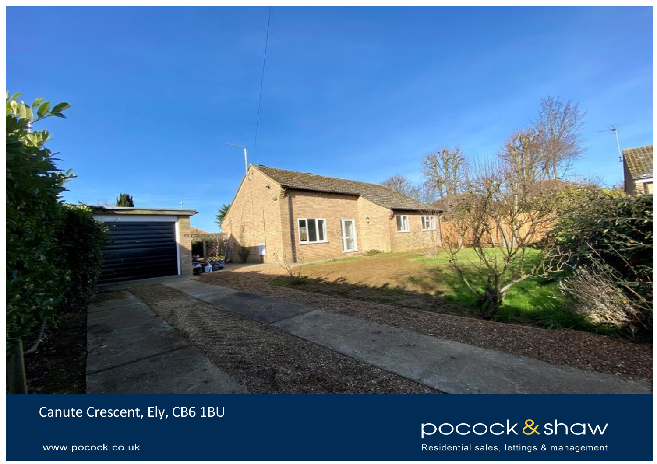

Canute Crescent, Ely, CB6 1BU



Residential sales, lettings & management

www.pocock.co.uk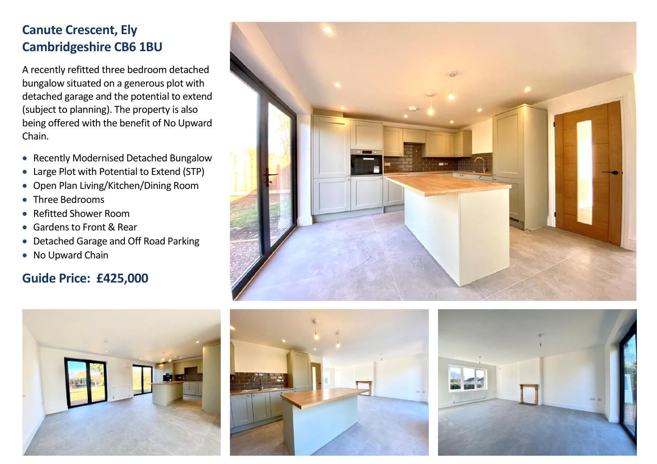## **Canute Crescent, Ely Cambridgeshire CB6 1BU**

A recently refitted three bedroom detached bungalow situated on a generous plot with detached garage and the potential to extend (subject to planning). The property is also being offered with the benefit of No Upward Chain.

- Recently Modernised Detached Bungalow
- Large Plot with Potential to Extend (STP)
- Open Plan Living/Kitchen/Dining Room
- Three Bedrooms
- Refitted Shower Room
- Gardens to Front & Rear
- Detached Garage and Off Road Parking
- No Upward Chain

## **Guide Price: £425,000**







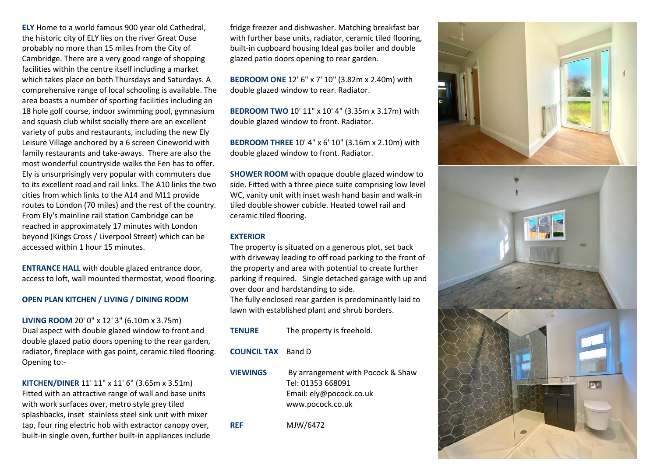**ELY** Home to a world famous 900 year old Cathedral, the historic city of ELY lies on the river Great Ouse probably no more than 15 miles from the City of Cambridge. There are a very good range of shopping facilities within the centre itself including a market which takes place on both Thursdays and Saturdays. A comprehensive range of local schooling is available. The area boasts a number of sporting facilities including an 18 hole golf course, indoor swimming pool, gymnasium and squash club whilst socially there are an excellent variety of pubs and restaurants, including the new Ely Leisure Village anchored by a 6 screen Cineworld with family restaurants and take-aways. There are also the most wonderful countryside walks the Fen has to offer. Ely is unsurprisingly very popular with commuters due to its excellent road and rail links. The A10 links the two cities from which links to the A14 and M11 provide routes to London (70 miles) and the rest of the country. From Ely's mainline rail station Cambridge can be reached in approximately 17 minutes with London beyond (Kings Cross / Liverpool Street) which can be accessed within 1 hour 15 minutes.

**ENTRANCE HALL** with double glazed entrance door, access to loft, wall mounted thermostat, wood flooring.

## **OPEN PLAN KITCHEN / LIVING / DINING ROOM**

**LIVING ROOM** 20' 0" x 12' 3" (6.10m x 3.75m) Dual aspect with double glazed window to front and double glazed patio doors opening to the rear garden, radiator, fireplace with gas point, ceramic tiled flooring. Opening to:-

**KITCHEN/DINER** 11' 11" x 11' 6" (3.65m x 3.51m) Fitted with an attractive range of wall and base units with work surfaces over, metro style grey tiled splashbacks, inset stainless steel sink unit with mixer tap, four ring electric hob with extractor canopy over, built-in single oven, further built-in appliances include fridge freezer and dishwasher. Matching breakfast bar with further base units, radiator, ceramic tiled flooring, built-in cupboard housing Ideal gas boiler and double glazed patio doors opening to rear garden.

**BEDROOM ONE** 12' 6" x 7' 10" (3.82m x 2.40m) with double glazed window to rear. Radiator.

**BEDROOM TWO** 10' 11" x 10' 4" (3.35m x 3.17m) with double glazed window to front. Radiator.

**BEDROOM THREE** 10' 4" x 6' 10" (3.16m x 2.10m) with double glazed window to front. Radiator.

**SHOWER ROOM** with opaque double glazed window to side. Fitted with a three piece suite comprising low level WC, vanity unit with inset wash hand basin and walk-in tiled double shower cubicle. Heated towel rail and ceramic tiled flooring.

## **EXTERIOR**

The property is situated on a generous plot, set back with driveway leading to off road parking to the front of the property and area with potential to create further parking if required. Single detached garage with up and over door and hardstanding to side.

The fully enclosed rear garden is predominantly laid to lawn with established plant and shrub borders.

- **TENURE** The property is freehold.
- **COUNCIL TAX** Band D
- 

**VIEWINGS** By arrangement with Pocock & Shaw Tel: 01353 668091 Email: [ely@pocock.co.uk](mailto:ely@pocock.co.uk) [www.pocock.co.uk](http://www.pocock.co.uk/)

**REF** MJW/6472